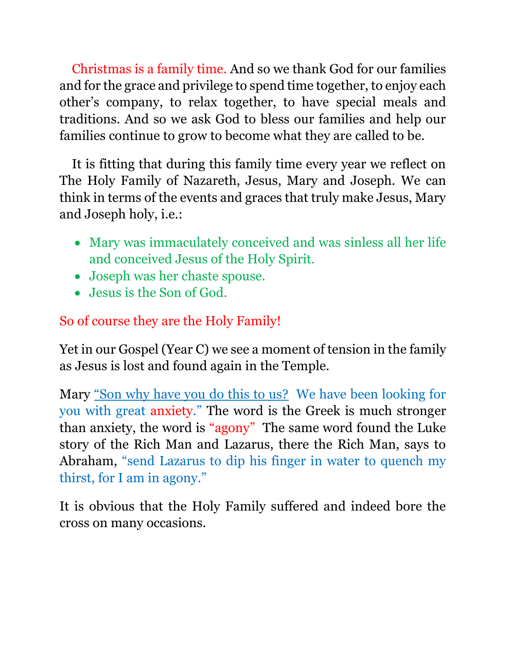Christmas is a family time. And so we thank God for our families and for the grace and privilege to spend time together, to enjoy each other's company, to relax together, to have special meals and traditions. And so we ask God to bless our families and help our families continue to grow to become what they are called to be.

It is fitting that during this family time every year we reflect on The Holy Family of Nazareth, Jesus, Mary and Joseph. We can think in terms of the events and graces that truly make Jesus, Mary and Joseph holy, i.e.:

- Mary was immaculately conceived and was sinless all her life and conceived Jesus of the Holy Spirit.
- Joseph was her chaste spouse.
- Jesus is the Son of God.

## So of course they are the Holy Family!

Yet in our Gospel (Year C) we see a moment of tension in the family as Jesus is lost and found again in the Temple.

Mary "Son why have you do this to us? We have been looking for you with great anxiety." The word is the Greek is much stronger than anxiety, the word is "agony" The same word found the Luke story of the Rich Man and Lazarus, there the Rich Man, says to Abraham, "send Lazarus to dip his finger in water to quench my thirst, for I am in agony."

It is obvious that the Holy Family suffered and indeed bore the cross on many occasions.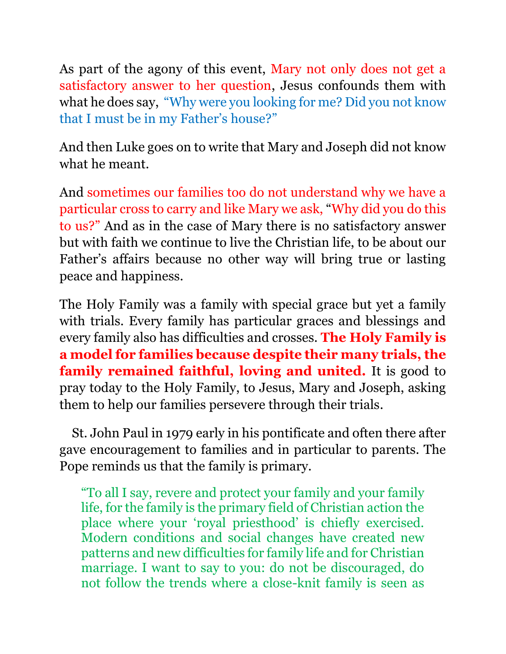As part of the agony of this event, Mary not only does not get a satisfactory answer to her question, Jesus confounds them with what he does say, "Why were you looking for me? Did you not know that I must be in my Father's house?"

And then Luke goes on to write that Mary and Joseph did not know what he meant.

And sometimes our families too do not understand why we have a particular cross to carry and like Mary we ask, "Why did you do this to us?" And as in the case of Mary there is no satisfactory answer but with faith we continue to live the Christian life, to be about our Father's affairs because no other way will bring true or lasting peace and happiness.

The Holy Family was a family with special grace but yet a family with trials. Every family has particular graces and blessings and every family also has difficulties and crosses. **The Holy Family is a model for families because despite their many trials, the family remained faithful, loving and united.** It is good to pray today to the Holy Family, to Jesus, Mary and Joseph, asking them to help our families persevere through their trials.

St. John Paul in 1979 early in his pontificate and often there after gave encouragement to families and in particular to parents. The Pope reminds us that the family is primary.

"To all I say, revere and protect your family and your family life, for the family is the primary field of Christian action the place where your 'royal priesthood' is chiefly exercised. Modern conditions and social changes have created new patterns and new difficulties for family life and for Christian marriage. I want to say to you: do not be discouraged, do not follow the trends where a close-knit family is seen as